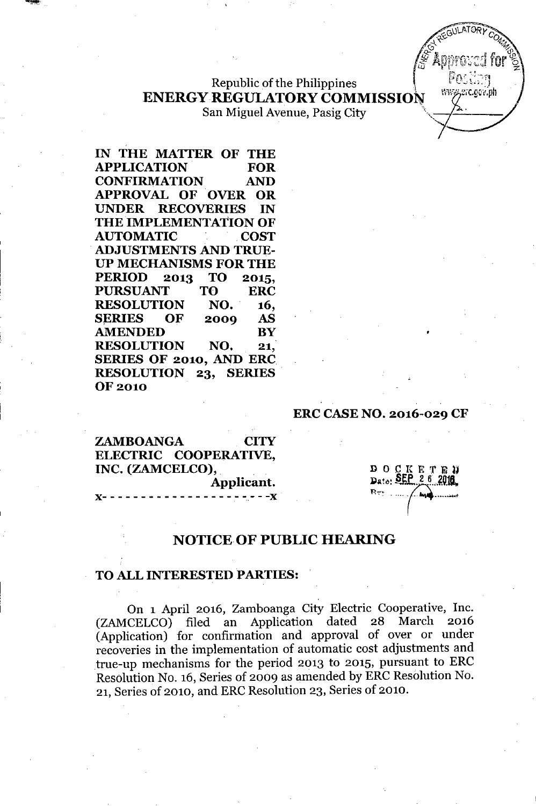Republic of the Philippines **ENERGY REGULATORY COMMISSION** 

San Miguel Avenue, Pasig City

IN THE MATTER OF THE APPLICATION FOR CONFIRMATION AND APPROVAL OF OVER OR UNDER RECOVERIES IN THE IMPLEMENTATION OF AUTOMATIC COST .ADJUSTMENTS AND TRUE-UP MECHANISMS FOR THE PERIOD 2013 TO 2015, PURSUANT TO ERC RESOLUTION NO. 16, SERIES OF 2009 AS AMENDED BY RESOLUTION NO. 21. SERIES OF 2010, AND ERC RESOLUTION 23, SERIES. OF 2010

### ERC CASE NO. 2016-029 CF

ZAMBOANGA CITY ELECTRIC COOPERATIVE, INC. (ZAMCELCO), Applicant. J(- - - - - - - - - - - - - - - - - - - - - -J(

D 0 0 K E T B<br>Date: SEP 2 6 20 Dato: SEP 26 2016  $R_{\nabla^*}$  .  $\Delta$ ••••• 0. ••• • •••.•••••••••.• }

wwy.erc.gov.ph

## NOTICE OF PUBLIC HEARING

### TO ALL INTERESTED PARTIES:

On 1 April 2016, Zamboanga City Electric Cooperative, Inc. (ZAMCELCO) filed an Application dated 28 March 2016 (Application) for confirmation and approval of over or under recoveries in the implementation of automatic cost adjustments and true-up mechanisms for the period 2013 to 2015, pursuant to ERC Resolution No. 16, Series of 2009 as amended by ERC Resolution No. 21, Series of 2010, and ERC Resolution 23, Series of 2010.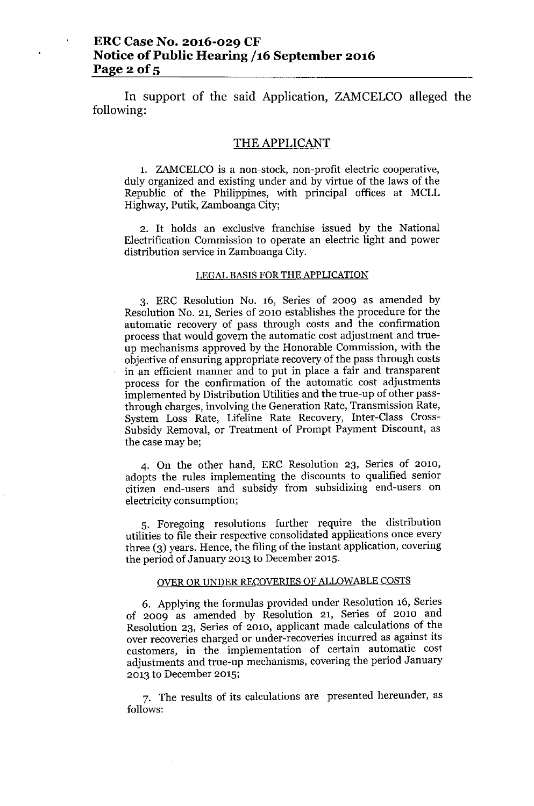**In** support of the said Application, ZAMCELCO alleged the following:

### THE APPLICANT

1. ZAMCELCO is a non-stock, non-profit electric cooperative, duly organized and existing under and by virtue of the laws of the Republic of the Philippines, with principal offices at MCLL Highway, Putik, Zamboanga City;

2. It holds an exclusive franchise issued by the National Electrification Commission to operate an electric light and power distribution service in Zamboanga City.

### LEGAL BASIS FOR THE APPLICATION

3. ERC Resolution No. 16, Series of 2009 as amended by Resolution No. 21, Series of 2010 establishes the procedure for the automatic recovery of pass through costs and the confirmation process that would govern the automatic cost adjustment and trueup mechanisms approved by the Honorable Commission, with the objective of ensuring appropriate recovery of the pass through costs in an efficient manner and to put in place a fair and transparent process for the confirmation of the automatic cost adjustments implemented by Distribution Utilities and the true-up of other passthrough charges, involving the Generation Rate, Transmission Rate, System Loss Rate, Lifeline Rate Recovery, Inter-Class Cross-Subsidy Removal, or Treatment of Prompt Payment Discount, as the case may be;

4. On the other hand, ERC Resolution 23, Series of 2010, adopts the rules implementing the discounts to qualified senior citizen end-users and subsidy from subsidizing end-users on electricity consumption;

5. Foregoing resolutions further require the distribution utilities to file their respective consolidated applications once every three (3) years. Hence, the filing of the instant application, covering the period of January 2013 to December 2015.

### OVER OR UNDER RECOVERIES OF ALLOWABLE COSTS

6. Applying the formulas provided under Resolution 16, Series of 2009 as amended by Resolution 21, Series of 2010 and Resolution 23, Series of 2010, applicant made calculations of the over recoveries charged or under-recoveries incurred as against its customers, in the implementation of certain automatic cost adjustments and true-up mechanisms, covering the period January 2013 to December 2015;

7. The results of its calculations are presented hereunder, as follows: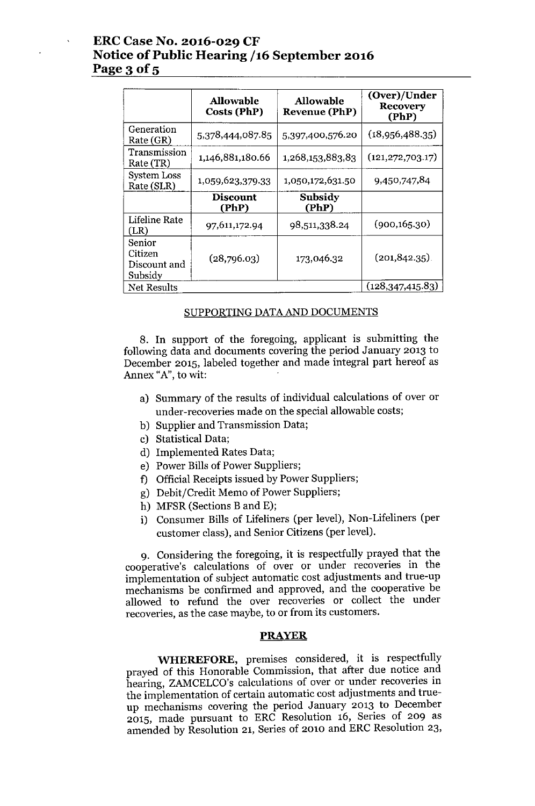# ERC Case No. 2016-029 CF Notice of Public Hearing /16 September 2016 Page 3 of 5

|                                              | <b>Allowable</b><br>Costs (PhP) | <b>Allowable</b><br><b>Revenue (PhP)</b> | (Over)/Under<br><b>Recovery</b><br>(PhP) |
|----------------------------------------------|---------------------------------|------------------------------------------|------------------------------------------|
| Generation<br>Rate (GR)                      | 5,378,444,087.85                | 5,397,400,576.20                         | (18,956,488.35)                          |
| Transmission<br>Rate (TR)                    | 1,146,881,180.66                | 1,268,153,883,83                         | (121, 272, 703.17)                       |
| System Loss<br>Rate (SLR)                    | 1,059,623,379.33                | 1,050,172,631.50                         | 9,450,747,84                             |
|                                              | <b>Discount</b><br>(PhP)        | Subsidy<br>(PhP)                         |                                          |
| Lifeline Rate<br>(LR)                        | 97,611,172.94                   | 98,511,338.24                            | (900, 165.30)                            |
| Senior<br>Citizen<br>Discount and<br>Subsidy | (28,796.03)                     | 173,046.32                               | $(201, 842.35)$ .                        |
| Net Results                                  |                                 |                                          | (128, 347, 415.83)                       |

#### SUPPORTING DATAAND DOCUMENTS

8. In support of the foregoing, applicant is submitting the following data and documents covering the period January 2013 to December 2015, labeled together and made integral part hereof as Annex "A", to wit:

- a) Summary of the results of individual calculations of over or under-recoveries made on the special allowable costs;
- b) Supplier and Transmission Data;
- c) Statistical Data;
- d) Implemented Rates Data;
- e) Power Bills of Power Suppliers;
- f) Official Receipts issued by Power Suppliers;
- g) Debit/Credit Memo of Power Suppliers;
- h) MFSR (Sections B and E);
- i) Consumer Bills of Lifeliners (per level), Non-Lifeliners (per customer class), and Senior Citizens (per level).

9. Considering the foregoing, it is respectfully prayed that the cooperative's calculations of over or under recoveries in the implementation of subject automatic cost adjustments and true-up mechanisms be confirmed and approved, and the cooperative be allowed to refund the over recoveries or collect the under recoveries, as the case maybe, to or from its customers.

### PRAYER

WHEREFORE, premises considered, it is respectfully prayed of this Honorable Commission, that after due notice and hearing, ZAMCELCO's calculations of over or under recoveries in the implementation of certain automatic cost adjustments and trueup mechanisms covering the period January 2013 to December 2015, made pursuant to ERC Resolution 16, Series of 209 as amended by Resolution 21, Series of 2010 and ERC Resolution 23,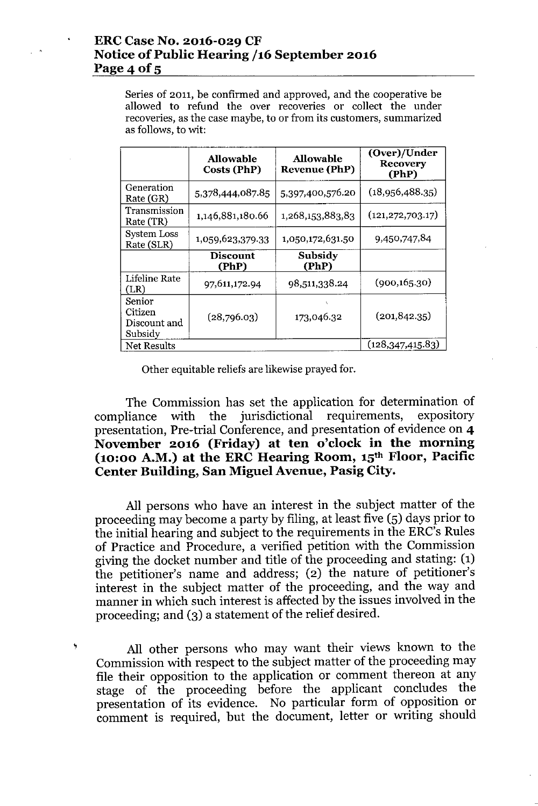## ERCCase No. 2016-029 CF Notice of Public Hearing /16 September 2016 Page 4 of  $5$

Series of 2011, be confirmed and approved, and the cooperative be allowed to refund the over recoveries or collect the under recoveries, as the case maybe, to or from its customers, summarized as follows, to wit:

|                                              | <b>Allowable</b><br>Costs (PhP) | <b>Allowable</b><br><b>Revenue (PhP)</b> | (Over)/Under<br><b>Recovery</b><br>(PhP) |
|----------------------------------------------|---------------------------------|------------------------------------------|------------------------------------------|
| Generation<br>Rate (GR)                      | 5,378,444,087.85                | 5,397,400,576.20                         | (18,956,488.35)                          |
| Transmission<br>Rate (TR)                    | 1,146,881,180.66                | 1,268,153,883,83                         | (121, 272, 703.17)                       |
| <b>System Loss</b><br>Rate (SLR)             | 1,059,623,379.33                | 1,050,172,631.50                         | 9,450,747,84                             |
|                                              | <b>Discount</b><br>(PhP)        | Subsidy<br>(PhP)                         |                                          |
| Lifeline Rate<br>(LR)                        | 97,611,172.94                   | 98,511,338.24                            | (900, 165.30)                            |
| Senior<br>Citizen<br>Discount and<br>Subsidy | (28,796.03)                     | 173,046.32                               | (201, 842.35)                            |
| Net Results                                  |                                 |                                          | (128, 347, 415.83)                       |

Other equitable reliefs are likewise prayed for.

The Commission has set the application for determination of compliance with the jurisdictional requirements, expository presentation, Pre-trial Conference, and presentation of evidence on 4 November 2016 (Friday) at ten o'clock in the morning (10:00 A.M.) at the ERC Hearing Room, 15th Floor, Pacific Center Building, San Miguel Avenue, Pasig City.

All persons who have an interest in the subject matter of the proceeding may become a party by filing, at least five (5) days prior to the initial hearing and subject to the requirements in the ERC's Rules of Practice and Procedure, a verified petition with the Commission giving the docket number and title of the proceeding and stating: (1) the petitioner's name and address; (2) the nature of petitioner's interest in the subject matter of the proceeding, and the way and manner in which such interest is affected by the issues involved in the proceeding; and (3) a statement of the relief desired.

All other persons who may want their views known to the Commission with respect to the subject matter of the proceeding may file their opposition to the application or comment thereon at any stage of the proceeding before the applicant concludes the presentation of its evidence. No particular form of opposition or comment is required, but the document, letter or writing should

,